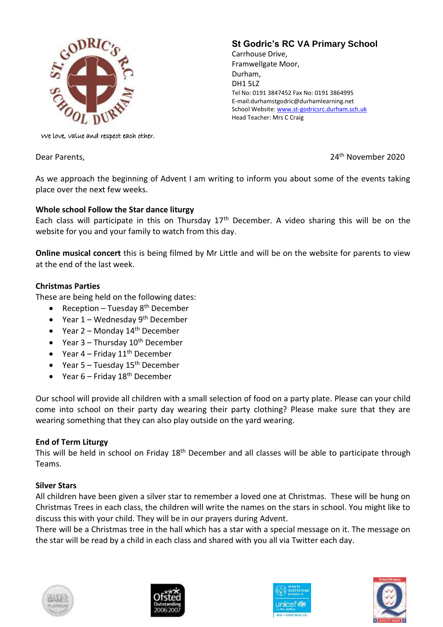

# **St Godric's RC VA Primary School**

Carrhouse Drive, Framwellgate Moor, Durham, DH1 5LZ Tel No: 0191 3847452 Fax No: 0191 3864995 E-mail:durhamstgodric@durhamlearning.net School Website[: www.st-godricsrc.durham.sch.uk](http://www.st-godricsrc.durham.sch.uk/) Head Teacher: Mrs C Craig

We love, value and respect each other.

Dear Parents,

### 24<sup>th</sup> November 2020

As we approach the beginning of Advent I am writing to inform you about some of the events taking place over the next few weeks.

### **Whole school Follow the Star dance liturgy**

Each class will participate in this on Thursday  $17<sup>th</sup>$  December. A video sharing this will be on the website for you and your family to watch from this day.

**Online musical concert** this is being filmed by Mr Little and will be on the website for parents to view at the end of the last week.

## **Christmas Parties**

These are being held on the following dates:

- Reception Tuesday  $8<sup>th</sup>$  December
- Year  $1$  Wednesday  $9<sup>th</sup>$  December
- Year  $2$  Monday  $14<sup>th</sup>$  December
- Year  $3$  Thursday  $10^{th}$  December
- Year  $4$  Friday  $11<sup>th</sup>$  December
- Year  $5 -$  Tuesday  $15<sup>th</sup>$  December
- Year  $6$  Friday  $18<sup>th</sup>$  December

Our school will provide all children with a small selection of food on a party plate. Please can your child come into school on their party day wearing their party clothing? Please make sure that they are wearing something that they can also play outside on the yard wearing.

### **End of Term Liturgy**

This will be held in school on Friday 18<sup>th</sup> December and all classes will be able to participate through Teams.

### **Silver Stars**

All children have been given a silver star to remember a loved one at Christmas. These will be hung on Christmas Trees in each class, the children will write the names on the stars in school. You might like to discuss this with your child. They will be in our prayers during Advent.

There will be a Christmas tree in the hall which has a star with a special message on it. The message on the star will be read by a child in each class and shared with you all via Twitter each day.